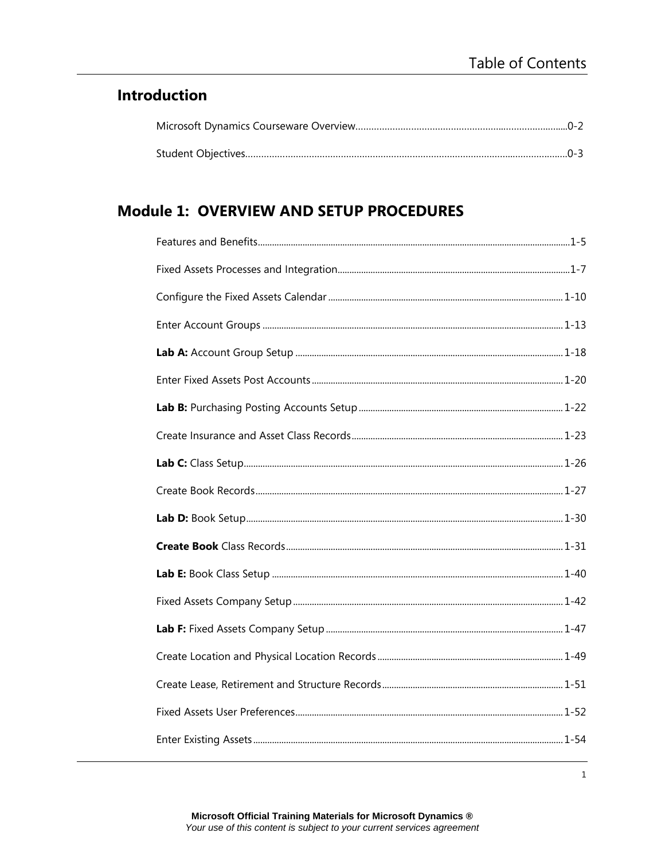### **Introduction**

## **Module 1: OVERVIEW AND SETUP PROCEDURES**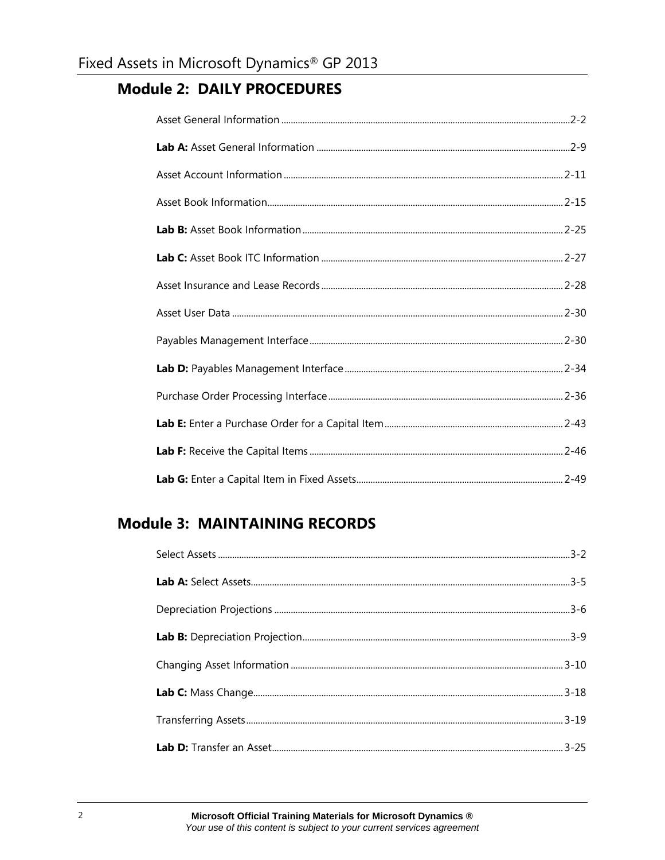#### **Module 2: DAILY PROCEDURES**

# **Module 3: MAINTAINING RECORDS**